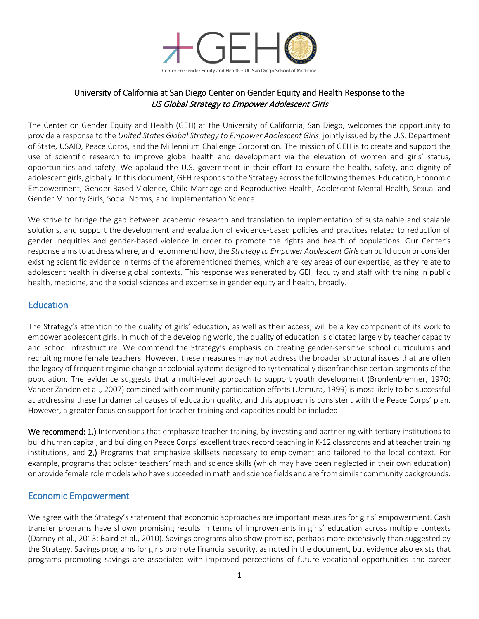

### University of California at San Diego Center on Gender Equity and Health Response to the US Global Strategy to Empower Adolescent Girls

The Center on Gender Equity and Health (GEH) at the University of California, San Diego, welcomes the opportunity to provide a response to the *United States Global Strategy to Empower Adolescent Girls*, jointly issued by the U.S. Department of State, USAID, Peace Corps, and the Millennium Challenge Corporation. The mission of GEH is to create and support the use of scientific research to improve global health and development via the elevation of women and girls' status, opportunities and safety. We applaud the U.S. government in their effort to ensure the health, safety, and dignity of adolescent girls, globally. In this document, GEH responds to the Strategy across the following themes: Education, Economic Empowerment, Gender-Based Violence, Child Marriage and Reproductive Health, Adolescent Mental Health, Sexual and Gender Minority Girls, Social Norms, and Implementation Science.

We strive to bridge the gap between academic research and translation to implementation of sustainable and scalable solutions, and support the development and evaluation of evidence-based policies and practices related to reduction of gender inequities and gender-based violence in order to promote the rights and health of populations. Our Center's response aims to address where, and recommend how, the *Strategy to Empower Adolescent Girls* can build upon or consider existing scientific evidence in terms of the aforementioned themes, which are key areas of our expertise, as they relate to adolescent health in diverse global contexts. This response was generated by GEH faculty and staff with training in public health, medicine, and the social sciences and expertise in gender equity and health, broadly.

### **Education**

The Strategy's attention to the quality of girls' education, as well as their access, will be a key component of its work to empower adolescent girls. In much of the developing world, the quality of education is dictated largely by teacher capacity and school infrastructure. We commend the Strategy's emphasis on creating gender-sensitive school curriculums and recruiting more female teachers. However, these measures may not address the broader structural issues that are often the legacy of frequent regime change or colonial systems designed to systematically disenfranchise certain segments of the population. The evidence suggests that a multi-level approach to support youth development (Bronfenbrenner, 1970; Vander Zanden et al., 2007) combined with community participation efforts (Uemura, 1999) is most likely to be successful at addressing these fundamental causes of education quality, and this approach is consistent with the Peace Corps' plan. However, a greater focus on support for teacher training and capacities could be included.

We recommend: 1.) Interventions that emphasize teacher training, by investing and partnering with tertiary institutions to build human capital, and building on Peace Corps' excellent track record teaching in K-12 classrooms and at teacher training institutions, and 2.) Programs that emphasize skillsets necessary to employment and tailored to the local context. For example, programs that bolster teachers' math and science skills (which may have been neglected in their own education) or provide female role models who have succeeded in math and science fields and are from similar community backgrounds.

#### Economic Empowerment

We agree with the Strategy's statement that economic approaches are important measures for girls' empowerment. Cash transfer programs have shown promising results in terms of improvements in girls' education across multiple contexts (Darney et al., 2013; Baird et al., 2010). Savings programs also show promise, perhaps more extensively than suggested by the Strategy. Savings programs for girls promote financial security, as noted in the document, but evidence also exists that programs promoting savings are associated with improved perceptions of future vocational opportunities and career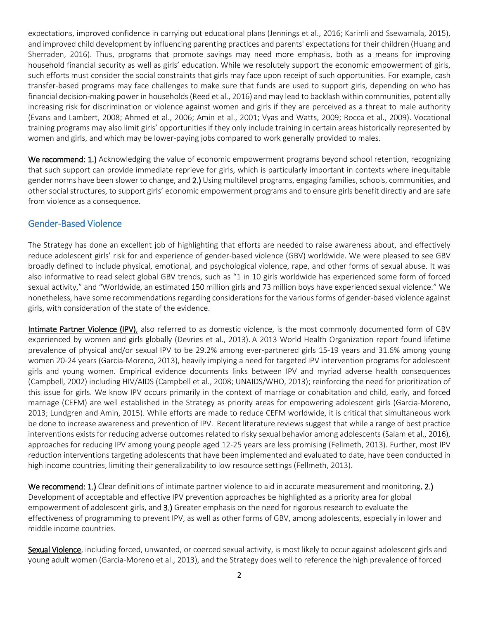expectations, improved confidence in carrying out educational plans (Jennings et al., 2016; Karimli and Ssewamala, 2015), and improved child development by influencing parenting practices and parents' expectations for their children (Huang and Sherraden, 2016). Thus, programs that promote savings may need more emphasis, both as a means for improving household financial security as well as girls' education. While we resolutely support the economic empowerment of girls, such efforts must consider the social constraints that girls may face upon receipt of such opportunities. For example, cash transfer-based programs may face challenges to make sure that funds are used to support girls, depending on who has financial decision-making power in households(Reed et al., 2016) and may lead to backlash within communities, potentially increasing risk for discrimination or violence against women and girls if they are perceived as a threat to male authority (Evans and Lambert, 2008; Ahmed et al., 2006; Amin et al., 2001; Vyas and Watts, 2009; Rocca et al., 2009). Vocational training programs may also limit girls' opportunities if they only include training in certain areas historically represented by women and girls, and which may be lower-paying jobs compared to work generally provided to males.

We recommend: 1.) Acknowledging the value of economic empowerment programs beyond school retention, recognizing that such support can provide immediate reprieve for girls, which is particularly important in contexts where inequitable gender norms have been slower to change, and 2.) Using multilevel programs, engaging families, schools, communities, and other social structures, to support girls' economic empowerment programs and to ensure girls benefit directly and are safe from violence as a consequence.

### Gender-Based Violence

The Strategy has done an excellent job of highlighting that efforts are needed to raise awareness about, and effectively reduce adolescent girls' risk for and experience of gender-based violence (GBV) worldwide. We were pleased to see GBV broadly defined to include physical, emotional, and psychological violence, rape, and other forms of sexual abuse. It was also informative to read select global GBV trends, such as "1 in 10 girls worldwide has experienced some form of forced sexual activity," and "Worldwide, an estimated 150 million girls and 73 million boys have experienced sexual violence." We nonetheless, have some recommendations regarding considerations for the various forms of gender-based violence against girls, with consideration of the state of the evidence.

Intimate Partner Violence (IPV), also referred to as domestic violence, is the most commonly documented form of GBV experienced by women and girls globally (Devries et al., 2013). A 2013 World Health Organization report found lifetime prevalence of physical and/or sexual IPV to be 29.2% among ever-partnered girls 15-19 years and 31.6% among young women 20-24 years (Garcia-Moreno, 2013), heavily implying a need for targeted IPV intervention programs for adolescent girls and young women. Empirical evidence documents links between IPV and myriad adverse health consequences (Campbell, 2002) including HIV/AIDS (Campbell et al., 2008; UNAIDS/WHO, 2013); reinforcing the need for prioritization of this issue for girls. We know IPV occurs primarily in the context of marriage or cohabitation and child, early, and forced marriage (CEFM) are well established in the Strategy as priority areas for empowering adolescent girls (Garcia-Moreno, 2013; Lundgren and Amin, 2015). While efforts are made to reduce CEFM worldwide, it is critical that simultaneous work be done to increase awareness and prevention of IPV. Recent literature reviews suggest that while a range of best practice interventions exists for reducing adverse outcomes related to risky sexual behavior among adolescents (Salam et al., 2016), approaches for reducing IPV among young people aged 12-25 years are less promising (Fellmeth, 2013). Further, most IPV reduction interventions targeting adolescents that have been implemented and evaluated to date, have been conducted in high income countries, limiting their generalizability to low resource settings (Fellmeth, 2013).

We recommend: 1.) Clear definitions of intimate partner violence to aid in accurate measurement and monitoring, 2.) Development of acceptable and effective IPV prevention approaches be highlighted as a priority area for global empowerment of adolescent girls, and 3.) Greater emphasis on the need for rigorous research to evaluate the effectiveness of programming to prevent IPV, as well as other forms of GBV, among adolescents, especially in lower and middle income countries.

Sexual Violence, including forced, unwanted, or coerced sexual activity, is most likely to occur against adolescent girls and young adult women (Garcia-Moreno et al., 2013), and the Strategy does well to reference the high prevalence of forced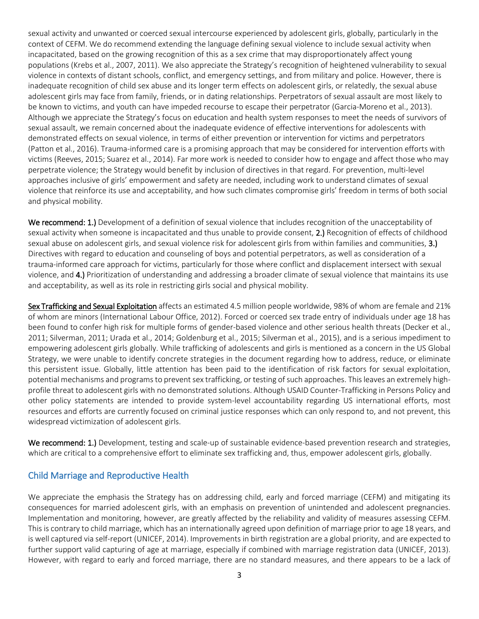sexual activity and unwanted or coerced sexual intercourse experienced by adolescent girls, globally, particularly in the context of CEFM. We do recommend extending the language defining sexual violence to include sexual activity when incapacitated, based on the growing recognition of this as a sex crime that may disproportionately affect young populations (Krebs et al., 2007, 2011). We also appreciate the Strategy's recognition of heightened vulnerability to sexual violence in contexts of distant schools, conflict, and emergency settings, and from military and police. However, there is inadequate recognition of child sex abuse and its longer term effects on adolescent girls, or relatedly, the sexual abuse adolescent girls may face from family, friends, or in dating relationships. Perpetrators of sexual assault are most likely to be known to victims, and youth can have impeded recourse to escape their perpetrator (Garcia-Moreno et al., 2013). Although we appreciate the Strategy's focus on education and health system responses to meet the needs of survivors of sexual assault, we remain concerned about the inadequate evidence of effective interventions for adolescents with demonstrated effects on sexual violence, in terms of either prevention or intervention for victims and perpetrators (Patton et al., 2016). Trauma-informed care is a promising approach that may be considered for intervention efforts with victims (Reeves, 2015; Suarez et al., 2014). Far more work is needed to consider how to engage and affect those who may perpetrate violence; the Strategy would benefit by inclusion of directives in that regard. For prevention, multi-level approaches inclusive of girls' empowerment and safety are needed, including work to understand climates of sexual violence that reinforce its use and acceptability, and how such climates compromise girls' freedom in terms of both social and physical mobility.

We recommend: 1.) Development of a definition of sexual violence that includes recognition of the unacceptability of sexual activity when someone is incapacitated and thus unable to provide consent, 2.) Recognition of effects of childhood sexual abuse on adolescent girls, and sexual violence risk for adolescent girls from within families and communities, 3.) Directives with regard to education and counseling of boys and potential perpetrators, as well as consideration of a trauma-informed care approach for victims, particularly for those where conflict and displacement intersect with sexual violence, and 4.) Prioritization of understanding and addressing a broader climate of sexual violence that maintains its use and acceptability, as well as its role in restricting girls social and physical mobility.

Sex Trafficking and Sexual Exploitation affects an estimated 4.5 million people worldwide, 98% of whom are female and 21% of whom are minors (International Labour Office, 2012). Forced or coerced sex trade entry of individuals under age 18 has been found to confer high risk for multiple forms of gender-based violence and other serious health threats (Decker et al., 2011; Silverman, 2011; Urada et al., 2014; Goldenburg et al., 2015; Silverman et al., 2015), and is a serious impediment to empowering adolescent girls globally. While trafficking of adolescents and girls is mentioned as a concern in the US Global Strategy, we were unable to identify concrete strategies in the document regarding how to address, reduce, or eliminate this persistent issue. Globally, little attention has been paid to the identification of risk factors for sexual exploitation, potential mechanisms and programs to prevent sex trafficking, or testing of such approaches. Thisleaves an extremely highprofile threat to adolescent girls with no demonstrated solutions. Although USAID Counter-Trafficking in Persons Policy and other policy statements are intended to provide system-level accountability regarding US international efforts, most resources and efforts are currently focused on criminal justice responses which can only respond to, and not prevent, this widespread victimization of adolescent girls.

We recommend: 1.) Development, testing and scale-up of sustainable evidence-based prevention research and strategies, which are critical to a comprehensive effort to eliminate sex trafficking and, thus, empower adolescent girls, globally.

### Child Marriage and Reproductive Health

We appreciate the emphasis the Strategy has on addressing child, early and forced marriage (CEFM) and mitigating its consequences for married adolescent girls, with an emphasis on prevention of unintended and adolescent pregnancies. Implementation and monitoring, however, are greatly affected by the reliability and validity of measures assessing CEFM. This is contrary to child marriage, which has an internationally agreed upon definition of marriage prior to age 18 years, and is well captured via self-report (UNICEF, 2014). Improvements in birth registration are a global priority, and are expected to further support valid capturing of age at marriage, especially if combined with marriage registration data (UNICEF, 2013). However, with regard to early and forced marriage, there are no standard measures, and there appears to be a lack of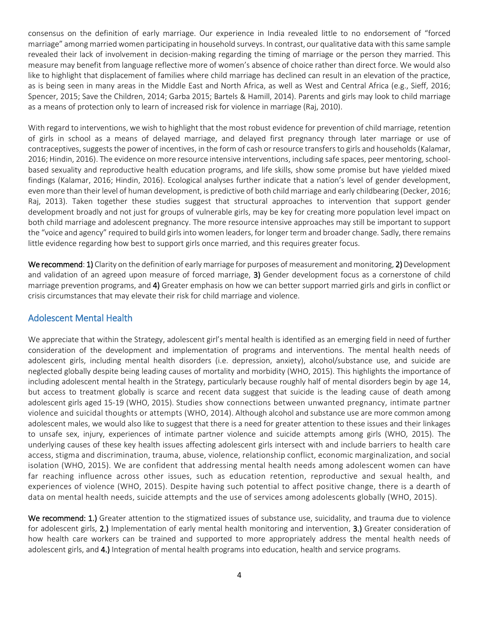consensus on the definition of early marriage. Our experience in India revealed little to no endorsement of "forced marriage" among married women participating in household surveys. In contrast, our qualitative data with this same sample revealed their lack of involvement in decision-making regarding the timing of marriage or the person they married. This measure may benefit from language reflective more of women's absence of choice rather than direct force. We would also like to highlight that displacement of families where child marriage has declined can result in an elevation of the practice, as is being seen in many areas in the Middle East and North Africa, as well as West and Central Africa (e.g., Sieff, 2016; Spencer, 2015; Save the Children, 2014; Garba 2015; Bartels & Hamill, 2014). Parents and girls may look to child marriage as a means of protection only to learn of increased risk for violence in marriage (Raj, 2010).

With regard to interventions, we wish to highlight that the most robust evidence for prevention of child marriage, retention of girls in school as a means of delayed marriage, and delayed first pregnancy through later marriage or use of contraceptives, suggests the power of incentives, in the form of cash or resource transfers to girls and households (Kalamar, 2016; Hindin, 2016). The evidence on more resource intensive interventions, including safe spaces, peer mentoring, schoolbased sexuality and reproductive health education programs, and life skills, show some promise but have yielded mixed findings (Kalamar, 2016; Hindin, 2016). Ecological analyses further indicate that a nation's level of gender development, even more than their level of human development, is predictive of both child marriage and early childbearing (Decker, 2016; Raj, 2013). Taken together these studies suggest that structural approaches to intervention that support gender development broadly and not just for groups of vulnerable girls, may be key for creating more population level impact on both child marriage and adolescent pregnancy. The more resource intensive approaches may still be important to support the "voice and agency" required to build girls into women leaders, for longer term and broader change. Sadly, there remains little evidence regarding how best to support girls once married, and this requires greater focus.

We recommend: 1) Clarity on the definition of early marriage for purposes of measurement and monitoring, 2) Development and validation of an agreed upon measure of forced marriage, 3) Gender development focus as a cornerstone of child marriage prevention programs, and 4) Greater emphasis on how we can better support married girls and girls in conflict or crisis circumstances that may elevate their risk for child marriage and violence.

### Adolescent Mental Health

We appreciate that within the Strategy, adolescent girl's mental health is identified as an emerging field in need of further consideration of the development and implementation of programs and interventions. The mental health needs of adolescent girls, including mental health disorders (i.e. depression, anxiety), alcohol/substance use, and suicide are neglected globally despite being leading causes of mortality and morbidity (WHO, 2015). This highlights the importance of including adolescent mental health in the Strategy, particularly because roughly half of mental disorders begin by age 14, but access to treatment globally is scarce and recent data suggest that suicide is the leading cause of death among adolescent girls aged 15-19 (WHO, 2015). Studies show connections between unwanted pregnancy, intimate partner violence and suicidal thoughts or attempts (WHO, 2014). Although alcohol and substance use are more common among adolescent males, we would also like to suggest that there is a need for greater attention to these issues and their linkages to unsafe sex, injury, experiences of intimate partner violence and suicide attempts among girls (WHO, 2015). The underlying causes of these key health issues affecting adolescent girls intersect with and include barriers to health care access, stigma and discrimination, trauma, abuse, violence, relationship conflict, economic marginalization, and social isolation (WHO, 2015). We are confident that addressing mental health needs among adolescent women can have far reaching influence across other issues, such as education retention, reproductive and sexual health, and experiences of violence (WHO, 2015). Despite having such potential to affect positive change, there is a dearth of data on mental health needs, suicide attempts and the use of services among adolescents globally (WHO, 2015).

We recommend: 1.) Greater attention to the stigmatized issues of substance use, suicidality, and trauma due to violence for adolescent girls, 2.) Implementation of early mental health monitoring and intervention, 3.) Greater consideration of how health care workers can be trained and supported to more appropriately address the mental health needs of adolescent girls, and 4.) Integration of mental health programs into education, health and service programs.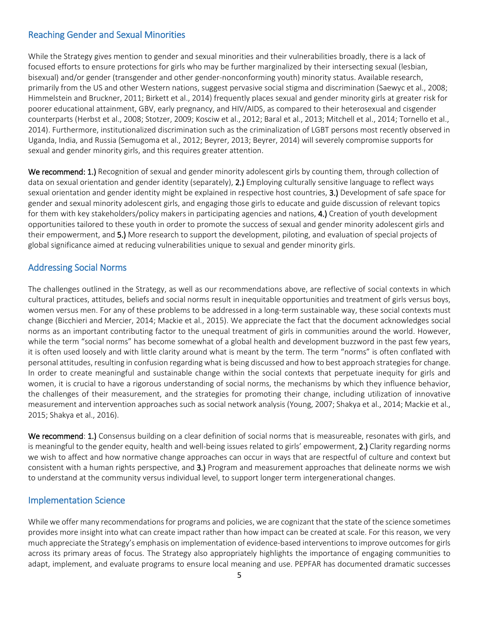# Reaching Gender and Sexual Minorities

While the Strategy gives mention to gender and sexual minorities and their vulnerabilities broadly, there is a lack of focused efforts to ensure protections for girls who may be further marginalized by their intersecting sexual (lesbian, bisexual) and/or gender (transgender and other gender-nonconforming youth) minority status. Available research, primarily from the US and other Western nations, suggest pervasive social stigma and discrimination (Saewyc et al., 2008; Himmelstein and Bruckner, 2011; Birkett et al., 2014) frequently places sexual and gender minority girls at greater risk for poorer educational attainment, GBV, early pregnancy, and HIV/AIDS, as compared to their heterosexual and cisgender counterparts (Herbst et al., 2008; Stotzer, 2009; Kosciw et al., 2012; Baral et al., 2013; Mitchell et al., 2014; Tornello et al., 2014). Furthermore, institutionalized discrimination such as the criminalization of LGBT persons most recently observed in Uganda, India, and Russia (Semugoma et al., 2012; Beyrer, 2013; Beyrer, 2014) will severely compromise supports for sexual and gender minority girls, and this requires greater attention.

We recommend: 1.) Recognition of sexual and gender minority adolescent girls by counting them, through collection of data on sexual orientation and gender identity (separately), 2.) Employing culturally sensitive language to reflect ways sexual orientation and gender identity might be explained in respective host countries, 3.) Development of safe space for gender and sexual minority adolescent girls, and engaging those girls to educate and guide discussion of relevant topics for them with key stakeholders/policy makers in participating agencies and nations, 4.) Creation of youth development opportunities tailored to these youth in order to promote the success of sexual and gender minority adolescent girls and their empowerment, and 5.) More research to support the development, piloting, and evaluation of special projects of global significance aimed at reducing vulnerabilities unique to sexual and gender minority girls.

### Addressing Social Norms

The challenges outlined in the Strategy, as well as our recommendations above, are reflective of social contexts in which cultural practices, attitudes, beliefs and social norms result in inequitable opportunities and treatment of girls versus boys, women versus men. For any of these problems to be addressed in a long-term sustainable way, these social contexts must change (Bicchieri and Mercier, 2014; Mackie et al., 2015). We appreciate the fact that the document acknowledges social norms as an important contributing factor to the unequal treatment of girls in communities around the world. However, while the term "social norms" has become somewhat of a global health and development buzzword in the past few years, it is often used loosely and with little clarity around what is meant by the term. The term "norms" is often conflated with personal attitudes, resulting in confusion regarding what is being discussed and how to best approach strategies for change. In order to create meaningful and sustainable change within the social contexts that perpetuate inequity for girls and women, it is crucial to have a rigorous understanding of social norms, the mechanisms by which they influence behavior, the challenges of their measurement, and the strategies for promoting their change, including utilization of innovative measurement and intervention approaches such as social network analysis (Young, 2007; Shakya et al., 2014; Mackie et al., 2015; Shakya et al., 2016).

We recommend: 1.) Consensus building on a clear definition of social norms that is measureable, resonates with girls, and is meaningful to the gender equity, health and well-being issues related to girls' empowerment, 2.) Clarity regarding norms we wish to affect and how normative change approaches can occur in ways that are respectful of culture and context but consistent with a human rights perspective, and 3.) Program and measurement approaches that delineate norms we wish to understand at the community versus individual level, to support longer term intergenerational changes.

#### Implementation Science

While we offer many recommendations for programs and policies, we are cognizant that the state of the science sometimes provides more insight into what can create impact rather than how impact can be created at scale. For this reason, we very much appreciate the Strategy's emphasis on implementation of evidence-based interventions to improve outcomes for girls across its primary areas of focus. The Strategy also appropriately highlights the importance of engaging communities to adapt, implement, and evaluate programs to ensure local meaning and use. PEPFAR has documented dramatic successes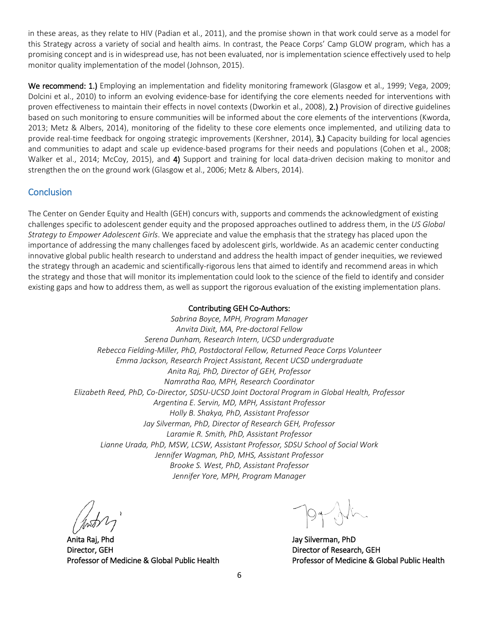in these areas, as they relate to HIV (Padian et al., 2011), and the promise shown in that work could serve as a model for this Strategy across a variety of social and health aims. In contrast, the Peace Corps' Camp GLOW program, which has a promising concept and is in widespread use, has not been evaluated, nor is implementation science effectively used to help monitor quality implementation of the model (Johnson, 2015).

We recommend: 1.) Employing an implementation and fidelity monitoring framework (Glasgow et al., 1999; Vega, 2009; Dolcini et al., 2010) to inform an evolving evidence-base for identifying the core elements needed for interventions with proven effectiveness to maintain their effects in novel contexts (Dworkin et al., 2008), 2.) Provision of directive guidelines based on such monitoring to ensure communities will be informed about the core elements of the interventions (Kworda, 2013; Metz & Albers, 2014), monitoring of the fidelity to these core elements once implemented, and utilizing data to provide real-time feedback for ongoing strategic improvements (Kershner, 2014), 3.) Capacity building for local agencies and communities to adapt and scale up evidence-based programs for their needs and populations (Cohen et al., 2008; Walker et al., 2014; McCoy, 2015), and 4) Support and training for local data-driven decision making to monitor and strengthen the on the ground work (Glasgow et al., 2006; Metz & Albers, 2014).

# **Conclusion**

The Center on Gender Equity and Health (GEH) concurs with, supports and commends the acknowledgment of existing challenges specific to adolescent gender equity and the proposed approaches outlined to address them, in the *US Global Strategy to Empower Adolescent Girls*. We appreciate and value the emphasis that the strategy has placed upon the importance of addressing the many challenges faced by adolescent girls, worldwide. As an academic center conducting innovative global public health research to understand and address the health impact of gender inequities, we reviewed the strategy through an academic and scientifically-rigorous lens that aimed to identify and recommend areas in which the strategy and those that will monitor its implementation could look to the science of the field to identify and consider existing gaps and how to address them, as well as support the rigorous evaluation of the existing implementation plans.

### Contributing GEH Co-Authors:

*Sabrina Boyce, MPH, Program Manager Anvita Dixit, MA, Pre-doctoral Fellow Serena Dunham, Research Intern, UCSD undergraduate Rebecca Fielding-Miller, PhD, Postdoctoral Fellow, Returned Peace Corps Volunteer Emma Jackson, Research Project Assistant, Recent UCSD undergraduate Anita Raj, PhD, Director of GEH, Professor Namratha Rao, MPH, Research Coordinator Elizabeth Reed, PhD, Co-Director, SDSU-UCSD Joint Doctoral Program in Global Health, Professor Argentina E. Servin, MD, MPH, Assistant Professor Holly B. Shakya, PhD, Assistant Professor Jay Silverman, PhD, Director of Research GEH, Professor Laramie R. Smith, PhD, Assistant Professor Lianne Urada, PhD, MSW, LCSW, Assistant Professor, SDSU School of Social Work Jennifer Wagman, PhD, MHS, Assistant Professor Brooke S. West, PhD, Assistant Professor Jennifer Yore, MPH, Program Manager*

Anita Raj, Phd Director, GEH Professor of Medicine & Global Public Health

Jay Silverman, PhD Director of Research, GEH Professor of Medicine & Global Public Health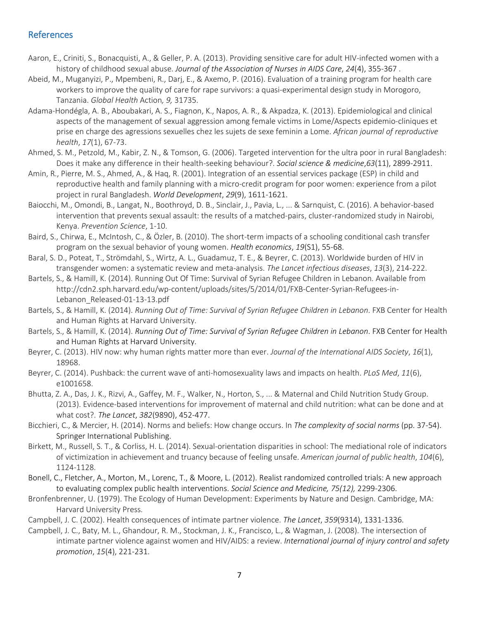## References

- Aaron, E., Criniti, S., Bonacquisti, A., & Geller, P. A. (2013). Providing sensitive care for adult HIV-infected women with a history of childhood sexual abuse. *Journal of the Association of Nurses in AIDS Care*, *24*(4), 355-367 .
- Abeid, M., Muganyizi, P., Mpembeni, R., Darj, E., & Axemo, P. (2016). Evaluation of a training program for health care workers to improve the quality of care for rape survivors: a quasi-experimental design study in Morogoro, Tanzania. *Global Health* Action*, 9,* 31735.
- Adama-Hondégla, A. B., Aboubakari, A. S., Fiagnon, K., Napos, A. R., & Akpadza, K. (2013). Epidemiological and clinical aspects of the management of sexual aggression among female victims in Lome/Aspects epidemio-cliniques et prise en charge des agressions sexuelles chez les sujets de sexe feminin a Lome. *African journal of reproductive health*, *17*(1), 67-73.
- Ahmed, S. M., Petzold, M., Kabir, Z. N., & Tomson, G. (2006). Targeted intervention for the ultra poor in rural Bangladesh: Does it make any difference in their health-seeking behaviour?. *Social science & medicine*,*63*(11), 2899-2911.
- Amin, R., Pierre, M. S., Ahmed, A., & Haq, R. (2001). Integration of an essential services package (ESP) in child and reproductive health and family planning with a micro-credit program for poor women: experience from a pilot project in rural Bangladesh. *World Development*, *29*(9), 1611-1621.
- Baiocchi, M., Omondi, B., Langat, N., Boothroyd, D. B., Sinclair, J., Pavia, L., ... & Sarnquist, C. (2016). A behavior-based intervention that prevents sexual assault: the results of a matched-pairs, cluster-randomized study in Nairobi, Kenya. *Prevention Science*, 1-10.
- Baird, S., Chirwa, E., McIntosh, C., & Özler, B. (2010). The short-term impacts of a schooling conditional cash transfer program on the sexual behavior of young women. *Health economics*, *19*(S1), 55-68.
- Baral, S. D., Poteat, T., Strömdahl, S., Wirtz, A. L., Guadamuz, T. E., & Beyrer, C. (2013). Worldwide burden of HIV in transgender women: a systematic review and meta-analysis. *The Lancet infectious diseases*, *13*(3), 214-222.
- Bartels, S., & Hamill, K. (2014). Running Out Of Time: Survival of Syrian Refugee Children in Lebanon. Available from http://cdn2.sph.harvard.edu/wp-content/uploads/sites/5/2014/01/FXB-Center-Syrian-Refugees-in-Lebanon\_Released-01-13-13.pdf
- Bartels, S., & Hamill, K. (2014). *Running Out of Time: Survival of Syrian Refugee Children in Lebanon*. FXB Center for Health and Human Rights at Harvard University.
- Bartels, S., & Hamill, K. (2014). *Running Out of Time: Survival of Syrian Refugee Children in Lebanon*. FXB Center for Health and Human Rights at Harvard University.
- Beyrer, C. (2013). HIV now: why human rights matter more than ever. *Journal of the International AIDS Society*, *16*(1), 18968.
- Beyrer, C. (2014). Pushback: the current wave of anti-homosexuality laws and impacts on health. *PLoS Med*, *11*(6), e1001658.
- Bhutta, Z. A., Das, J. K., Rizvi, A., Gaffey, M. F., Walker, N., Horton, S., ... & Maternal and Child Nutrition Study Group. (2013). Evidence-based interventions for improvement of maternal and child nutrition: what can be done and at what cost?. *The Lancet*, *382*(9890), 452-477.
- Bicchieri, C., & Mercier, H. (2014). Norms and beliefs: How change occurs. In *The complexity of social norms* (pp. 37-54). Springer International Publishing.
- Birkett, M., Russell, S. T., & Corliss, H. L. (2014). Sexual-orientation disparities in school: The mediational role of indicators of victimization in achievement and truancy because of feeling unsafe. *American journal of public health*, *104*(6), 1124-1128.
- Bonell, C., Fletcher, A., Morton, M., Lorenc, T., & Moore, L. (2012). Realist randomized controlled trials: A new approach to evaluating complex public health interventions. *Social Science and Medicine, 75(12),* 2299-2306.
- Bronfenbrenner, U. (1979). The Ecology of Human Development: Experiments by Nature and Design. Cambridge, MA: Harvard University Press.
- Campbell, J. C. (2002). Health consequences of intimate partner violence. *The Lancet*, *359*(9314), 1331-1336.
- Campbell, J. C., Baty, M. L., Ghandour, R. M., Stockman, J. K., Francisco, L., & Wagman, J. (2008). The intersection of intimate partner violence against women and HIV/AIDS: a review. *International journal of injury control and safety promotion*, *15*(4), 221-231.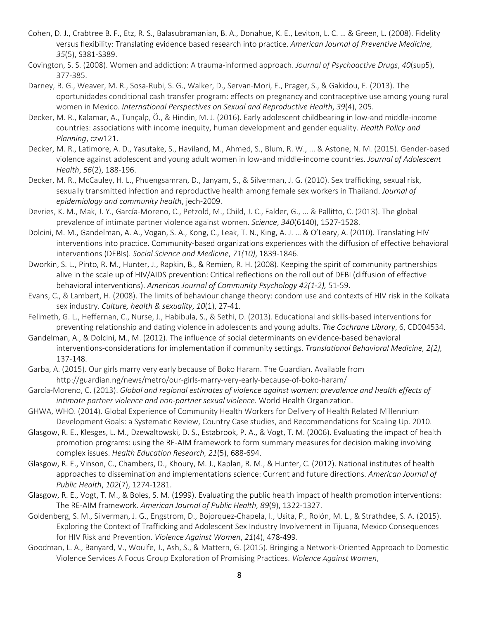- Cohen, D. J., Crabtree B. F., Etz, R. S., Balasubramanian, B. A., Donahue, K. E., Leviton, L. C. … & Green, L. (2008). Fidelity versus flexibility: Translating evidence based research into practice. *American Journal of Preventive Medicine, 35*(5), S381-S389.
- Covington, S. S. (2008). Women and addiction: A trauma-informed approach. *Journal of Psychoactive Drugs*, *40*(sup5), 377-385.
- Darney, B. G., Weaver, M. R., Sosa-Rubi, S. G., Walker, D., Servan-Mori, E., Prager, S., & Gakidou, E. (2013). The oportunidades conditional cash transfer program: effects on pregnancy and contraceptive use among young rural women in Mexico. *International Perspectives on Sexual and Reproductive Health*, *39*(4), 205.
- Decker, M. R., Kalamar, A., Tunçalp, Ö., & Hindin, M. J. (2016). Early adolescent childbearing in low-and middle-income countries: associations with income inequity, human development and gender equality. *Health Policy and Planning*, czw121.
- Decker, M. R., Latimore, A. D., Yasutake, S., Haviland, M., Ahmed, S., Blum, R. W., ... & Astone, N. M. (2015). Gender-based violence against adolescent and young adult women in low-and middle-income countries. *Journal of Adolescent Health*, *56*(2), 188-196.
- Decker, M. R., McCauley, H. L., Phuengsamran, D., Janyam, S., & Silverman, J. G. (2010). Sex trafficking, sexual risk, sexually transmitted infection and reproductive health among female sex workers in Thailand. *Journal of epidemiology and community health*, jech-2009.
- Devries, K. M., Mak, J. Y., García-Moreno, C., Petzold, M., Child, J. C., Falder, G., ... & Pallitto, C. (2013). The global prevalence of intimate partner violence against women. *Science*, *340*(6140), 1527-1528.
- Dolcini, M. M., Gandelman, A. A., Vogan, S. A., Kong, C., Leak, T. N., King, A. J. … & O'Leary, A. (2010). Translating HIV interventions into practice. Community-based organizations experiences with the diffusion of effective behavioral interventions (DEBIs). *Social Science and Medicine*, *71(10)*, 1839-1846.
- Dworkin, S. L., Pinto, R. M., Hunter, J., Rapkin, B., & Remien, R. H. (2008). Keeping the spirit of community partnerships alive in the scale up of HIV/AIDS prevention: Critical reflections on the roll out of DEBI (diffusion of effective behavioral interventions). *American Journal of Community Psychology 42(1-2),* 51-59.
- Evans, C., & Lambert, H. (2008). The limits of behaviour change theory: condom use and contexts of HIV risk in the Kolkata sex industry. *Culture, health & sexuality*, *10*(1), 27-41.
- Fellmeth, G. L., Heffernan, C., Nurse, J., Habibula, S., & Sethi, D. (2013). Educational and skills-based interventions for preventing relationship and dating violence in adolescents and young adults. *The Cochrane Library*, 6, CD004534.
- Gandelman, A., & Dolcini, M., M. (2012). The influence of social determinants on evidence-based behavioral interventions-considerations for implementation if community settings. *Translational Behavioral Medicine, 2(2),*  137-148.
- Garba, A. (2015). Our girls marry very early because of Boko Haram. The Guardian. Available from http://guardian.ng/news/metro/our-girls-marry-very-early-because-of-boko-haram/
- García-Moreno, C. (2013). *Global and regional estimates of violence against women: prevalence and health effects of intimate partner violence and non-partner sexual violence*. World Health Organization.
- GHWA, WHO. (2014). Global Experience of Community Health Workers for Delivery of Health Related Millennium Development Goals: a Systematic Review, Country Case studies, and Recommendations for Scaling Up. 2010.
- Glasgow, R. E., Klesges, L. M., Dzewaltowski, D. S., Estabrook, P. A., & Vogt, T. M. (2006). Evaluating the impact of health promotion programs: using the RE-AIM framework to form summary measures for decision making involving complex issues. *Health Education Research, 21*(5), 688-694.
- Glasgow, R. E., Vinson, C., Chambers, D., Khoury, M. J., Kaplan, R. M., & Hunter, C. (2012). National institutes of health approaches to dissemination and implementations science: Current and future directions. *American Journal of Public Health*, *102*(7), 1274-1281.
- Glasgow, R. E., Vogt, T. M., & Boles, S. M. (1999). Evaluating the public health impact of health promotion interventions: The RE-AIM framework. *American Journal of Public Health, 89*(9), 1322-1327.
- Goldenberg, S. M., Silverman, J. G., Engstrom, D., Bojorquez-Chapela, I., Usita, P., Rolón, M. L., & Strathdee, S. A. (2015). Exploring the Context of Trafficking and Adolescent Sex Industry Involvement in Tijuana, Mexico Consequences for HIV Risk and Prevention. *Violence Against Women*, *21*(4), 478-499.
- Goodman, L. A., Banyard, V., Woulfe, J., Ash, S., & Mattern, G. (2015). Bringing a Network-Oriented Approach to Domestic Violence Services A Focus Group Exploration of Promising Practices. *Violence Against Women*,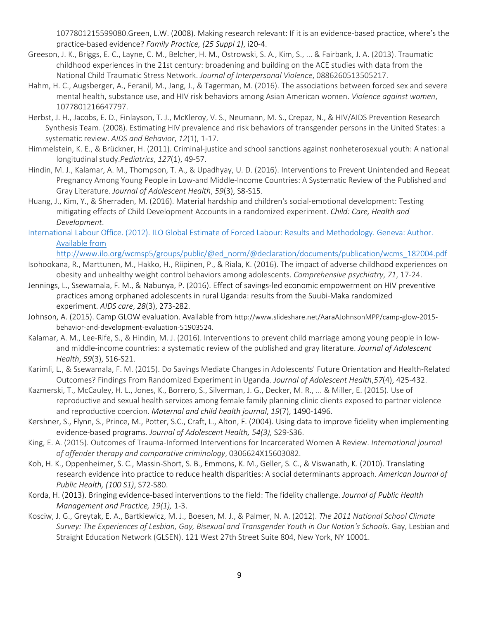1077801215599080.Green, L.W. (2008). Making research relevant: If it is an evidence-based practice, where's the practice-based evidence? *Family Practice, (25 Suppl 1)*, i20-4.

- Greeson, J. K., Briggs, E. C., Layne, C. M., Belcher, H. M., Ostrowski, S. A., Kim, S., ... & Fairbank, J. A. (2013). Traumatic childhood experiences in the 21st century: broadening and building on the ACE studies with data from the National Child Traumatic Stress Network. *Journal of Interpersonal Violence*, 0886260513505217.
- Hahm, H. C., Augsberger, A., Feranil, M., Jang, J., & Tagerman, M. (2016). The associations between forced sex and severe mental health, substance use, and HIV risk behaviors among Asian American women. *Violence against women*, 1077801216647797.
- Herbst, J. H., Jacobs, E. D., Finlayson, T. J., McKleroy, V. S., Neumann, M. S., Crepaz, N., & HIV/AIDS Prevention Research Synthesis Team. (2008). Estimating HIV prevalence and risk behaviors of transgender persons in the United States: a systematic review. *AIDS and Behavior*, *12*(1), 1-17.
- Himmelstein, K. E., & Brückner, H. (2011). Criminal-justice and school sanctions against nonheterosexual youth: A national longitudinal study.*Pediatrics*, *127*(1), 49-57.
- Hindin, M. J., Kalamar, A. M., Thompson, T. A., & Upadhyay, U. D. (2016). Interventions to Prevent Unintended and Repeat Pregnancy Among Young People in Low-and Middle-Income Countries: A Systematic Review of the Published and Gray Literature. *Journal of Adolescent Health*, *59*(3), S8-S15.
- Huang, J., Kim, Y., & Sherraden, M. (2016). Material hardship and children's social-emotional development: Testing mitigating effects of Child Development Accounts in a randomized experiment. *Child: Care, Health and Development*.
- International Labour Office. (2012). ILO Global Estimate of Forced Labour: Results and Methodology. Geneva: Author. Available from

http://www.ilo.org/wcmsp5/groups/public/@ed\_norm/@declaration/documents/publication/wcms\_182004.pdf

- Isohookana, R., Marttunen, M., Hakko, H., Riipinen, P., & Riala, K. (2016). The impact of adverse childhood experiences on obesity and unhealthy weight control behaviors among adolescents. *Comprehensive psychiatry*, *71*, 17-24.
- Jennings, L., Ssewamala, F. M., & Nabunya, P. (2016). Effect of savings-led economic empowerment on HIV preventive practices among orphaned adolescents in rural Uganda: results from the Suubi-Maka randomized experiment. *AIDS care*, *28*(3), 273-282.
- Johnson, A. (2015). Camp GLOW evaluation. Available from http://www.slideshare.net/AaraAJohnsonMPP/camp-glow-2015 behavior-and-development-evaluation-51903524.
- Kalamar, A. M., Lee-Rife, S., & Hindin, M. J. (2016). Interventions to prevent child marriage among young people in lowand middle-income countries: a systematic review of the published and gray literature. *Journal of Adolescent Health*, *59*(3), S16-S21.
- Karimli, L., & Ssewamala, F. M. (2015). Do Savings Mediate Changes in Adolescents' Future Orientation and Health-Related Outcomes? Findings From Randomized Experiment in Uganda. *Journal of Adolescent Health*,*57*(4), 425-432.
- Kazmerski, T., McCauley, H. L., Jones, K., Borrero, S., Silverman, J. G., Decker, M. R., ... & Miller, E. (2015). Use of reproductive and sexual health services among female family planning clinic clients exposed to partner violence and reproductive coercion. *Maternal and child health journal*, *19*(7), 1490-1496.
- Kershner, S., Flynn, S., Prince, M., Potter, S.C., Craft, L., Alton, F. (2004). Using data to improve fidelity when implementing evidence-based programs. *Journal of Adolescent Health, 54(3),* S29-S36.
- King, E. A. (2015). Outcomes of Trauma-Informed Interventions for Incarcerated Women A Review. *International journal of offender therapy and comparative criminology*, 0306624X15603082.
- Koh, H. K., Oppenheimer, S. C., Massin-Short, S. B., Emmons, K. M., Geller, S. C., & Viswanath, K. (2010). Translating research evidence into practice to reduce health disparities: A social determinants approach. *American Journal of Public Health, (100 S1)*, S72-S80.
- Korda, H. (2013). Bringing evidence-based interventions to the field: The fidelity challenge. *Journal of Public Health Management and Practice, 19(1),* 1-3.
- Kosciw, J. G., Greytak, E. A., Bartkiewicz, M. J., Boesen, M. J., & Palmer, N. A. (2012). *The 2011 National School Climate Survey: The Experiences of Lesbian, Gay, Bisexual and Transgender Youth in Our Nation's Schools*. Gay, Lesbian and Straight Education Network (GLSEN). 121 West 27th Street Suite 804, New York, NY 10001.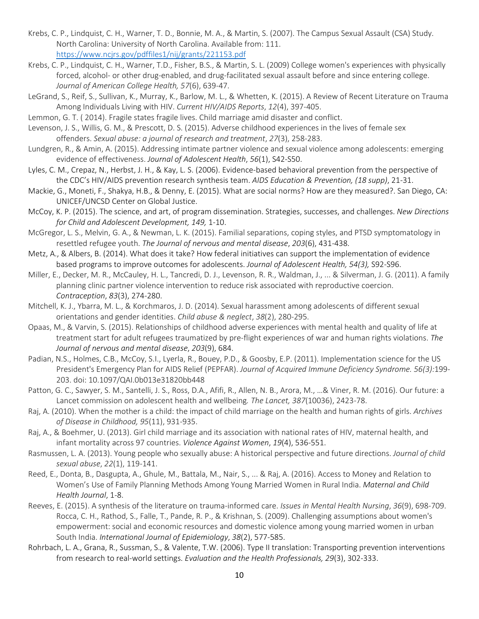- Krebs, C. P., Lindquist, C. H., Warner, T. D., Bonnie, M. A., & Martin, S. (2007). The Campus Sexual Assault (CSA) Study. North Carolina: University of North Carolina. Available from: 111. https://www.ncjrs.gov/pdffiles1/nij/grants/221153.pdf
- Krebs, C. P., Lindquist, C. H., Warner, T.D., Fisher, B.S., & Martin, S. L. (2009) College women's experiences with physically forced, alcohol- or other drug-enabled, and drug-facilitated sexual assault before and since entering college. *Journal of American College Health, 57*(6), 639-47.
- LeGrand, S., Reif, S., Sullivan, K., Murray, K., Barlow, M. L., & Whetten, K. (2015). A Review of Recent Literature on Trauma Among Individuals Living with HIV. *Current HIV/AIDS Reports*, *12*(4), 397-405.
- Lemmon, G. T. ( 2014). Fragile states fragile lives. Child marriage amid disaster and conflict.
- Levenson, J. S., Willis, G. M., & Prescott, D. S. (2015). Adverse childhood experiences in the lives of female sex offenders. *Sexual abuse: a journal of research and treatment*, *27*(3), 258-283.
- Lundgren, R., & Amin, A. (2015). Addressing intimate partner violence and sexual violence among adolescents: emerging evidence of effectiveness. *Journal of Adolescent Health*, *56*(1), S42-S50.
- Lyles, C. M., Crepaz, N., Herbst, J. H., & Kay, L. S. (2006). Evidence-based behavioral prevention from the perspective of the CDC's HIV/AIDS prevention research synthesis team. *AIDS Education & Prevention, (18 supp)*, 21-31.
- Mackie, G., Moneti, F., Shakya, H.B., & Denny, E. (2015). What are social norms? How are they measured?. San Diego, CA: UNICEF/UNCSD Center on Global Justice.
- McCoy, K. P. (2015). The science, and art, of program dissemination. Strategies, successes, and challenges. *New Directions for Child and Adolescent Development, 149,* 1-10.
- McGregor, L. S., Melvin, G. A., & Newman, L. K. (2015). Familial separations, coping styles, and PTSD symptomatology in resettled refugee youth. *The Journal of nervous and mental disease*, *203*(6), 431-438.
- Metz, A., & Albers, B. (2014). What does it take? How federal initiatives can support the implementation of evidence based programs to improve outcomes for adolescents. *Journal of Adolescent Health, 54(3),* S92-S96.
- Miller, E., Decker, M. R., McCauley, H. L., Tancredi, D. J., Levenson, R. R., Waldman, J., ... & Silverman, J. G. (2011). A family planning clinic partner violence intervention to reduce risk associated with reproductive coercion. *Contraception*, *83*(3), 274-280.
- Mitchell, K. J., Ybarra, M. L., & Korchmaros, J. D. (2014). Sexual harassment among adolescents of different sexual orientations and gender identities. *Child abuse & neglect*, *38*(2), 280-295.
- Opaas, M., & Varvin, S. (2015). Relationships of childhood adverse experiences with mental health and quality of life at treatment start for adult refugees traumatized by pre-flight experiences of war and human rights violations. *The Journal of nervous and mental disease*, *203*(9), 684.
- Padian, N.S., Holmes, C.B., McCoy, S.I., Lyerla, R., Bouey, P.D., & Goosby, E.P. (2011). Implementation science for the US President's Emergency Plan for AIDS Relief (PEPFAR). *Journal of Acquired Immune Deficiency Syndrome. 56(3):*199- 203. doi: 10.1097/QAI.0b013e31820bb448
- Patton, G. C., Sawyer, S. M., Santelli, J. S., Ross, D.A., Afifi, R., Allen, N. B., Arora, M., …& Viner, R. M. (2016). Our future: a Lancet commission on adolescent health and wellbeing*. The Lancet, 387*(10036), 2423-78.
- Raj, A. (2010). When the mother is a child: the impact of child marriage on the health and human rights of girls. *Archives of Disease in Childhood, 95*(11), 931-935.
- Raj, A., & Boehmer, U. (2013). Girl child marriage and its association with national rates of HIV, maternal health, and infant mortality across 97 countries. *Violence Against Women*, *19*(4), 536-551.
- Rasmussen, L. A. (2013). Young people who sexually abuse: A historical perspective and future directions. *Journal of child sexual abuse*, *22*(1), 119-141.
- Reed, E., Donta, B., Dasgupta, A., Ghule, M., Battala, M., Nair, S., ... & Raj, A. (2016). Access to Money and Relation to Women's Use of Family Planning Methods Among Young Married Women in Rural India. *Maternal and Child Health Journal*, 1-8.
- Reeves, E. (2015). A synthesis of the literature on trauma-informed care. *Issues in Mental Health Nursing*, *36*(9), 698-709. Rocca, C. H., Rathod, S., Falle, T., Pande, R. P., & Krishnan, S. (2009). Challenging assumptions about women's empowerment: social and economic resources and domestic violence among young married women in urban South India. *International Journal of Epidemiology*, *38*(2), 577-585.
- Rohrbach, L. A., Grana, R., Sussman, S., & Valente, T.W. (2006). Type II translation: Transporting prevention interventions from research to real-world settings. *Evaluation and the Health Professionals, 29*(3), 302-333.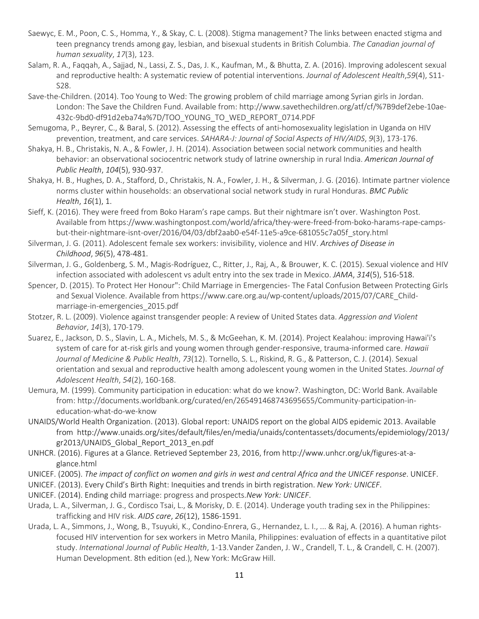- Saewyc, E. M., Poon, C. S., Homma, Y., & Skay, C. L. (2008). Stigma management? The links between enacted stigma and teen pregnancy trends among gay, lesbian, and bisexual students in British Columbia. *The Canadian journal of human sexuality*, *17*(3), 123.
- Salam, R. A., Faqqah, A., Sajjad, N., Lassi, Z. S., Das, J. K., Kaufman, M., & Bhutta, Z. A. (2016). Improving adolescent sexual and reproductive health: A systematic review of potential interventions. *Journal of Adolescent Health*,*59*(4), S11- S28.
- Save-the-Children. (2014). Too Young to Wed: The growing problem of child marriage among Syrian girls in Jordan. London: The Save the Children Fund. Available from: http://www.savethechildren.org/atf/cf/%7B9def2ebe-10ae-432c-9bd0-df91d2eba74a%7D/TOO\_YOUNG\_TO\_WED\_REPORT\_0714.PDF
- Semugoma, P., Beyrer, C., & Baral, S. (2012). Assessing the effects of anti-homosexuality legislation in Uganda on HIV prevention, treatment, and care services. *SAHARA-J: Journal of Social Aspects of HIV/AIDS*, *9*(3), 173-176.
- Shakya, H. B., Christakis, N. A., & Fowler, J. H. (2014). Association between social network communities and health behavior: an observational sociocentric network study of latrine ownership in rural India. *American Journal of Public Health*, *104*(5), 930-937.
- Shakya, H. B., Hughes, D. A., Stafford, D., Christakis, N. A., Fowler, J. H., & Silverman, J. G. (2016). Intimate partner violence norms cluster within households: an observational social network study in rural Honduras. *BMC Public Health*, *16*(1), 1.
- Sieff, K. (2016). They were freed from Boko Haram's rape camps. But their nightmare isn't over. Washington Post. Available from https://www.washingtonpost.com/world/africa/they-were-freed-from-boko-harams-rape-campsbut-their-nightmare-isnt-over/2016/04/03/dbf2aab0-e54f-11e5-a9ce-681055c7a05f\_story.html
- Silverman, J. G. (2011). Adolescent female sex workers: invisibility, violence and HIV. *Archives of Disease in Childhood*, *96*(5), 478-481.
- Silverman, J. G., Goldenberg, S. M., Magis-Rodríguez, C., Ritter, J., Raj, A., & Brouwer, K. C. (2015). Sexual violence and HIV infection associated with adolescent vs adult entry into the sex trade in Mexico. *JAMA*, *314*(5), 516-518.
- Spencer, D. (2015). To Protect Her Honour": Child Marriage in Emergencies- The Fatal Confusion Between Protecting Girls and Sexual Violence. Available from https://www.care.org.au/wp-content/uploads/2015/07/CARE\_Childmarriage-in-emergencies\_2015.pdf
- Stotzer, R. L. (2009). Violence against transgender people: A review of United States data. *Aggression and Violent Behavior*, *14*(3), 170-179.
- Suarez, E., Jackson, D. S., Slavin, L. A., Michels, M. S., & McGeehan, K. M. (2014). Project Kealahou: improving Hawai'i's system of care for at-risk girls and young women through gender-responsive, trauma-informed care. *Hawaii Journal of Medicine & Public Health*, *73*(12). Tornello, S. L., Riskind, R. G., & Patterson, C. J. (2014). Sexual orientation and sexual and reproductive health among adolescent young women in the United States. *Journal of Adolescent Health*, *54*(2), 160-168.
- Uemura, M. (1999). Community participation in education: what do we know?. Washington, DC: World Bank. Available from: http://documents.worldbank.org/curated/en/265491468743695655/Community-participation-ineducation-what-do-we-know
- UNAIDS/World Health Organization. (2013). Global report: UNAIDS report on the global AIDS epidemic 2013. Available from http://www.unaids.org/sites/default/files/en/media/unaids/contentassets/documents/epidemiology/2013/ gr2013/UNAIDS\_Global\_Report\_2013\_en.pdf
- UNHCR. (2016). Figures at a Glance. Retrieved September 23, 2016, from http://www.unhcr.org/uk/figures-at-aglance.html
- UNICEF. (2005). *The impact of conflict on women and girls in west and central Africa and the UNICEF response*. UNICEF.
- UNICEF. (2013). Every Child's Birth Right: Inequities and trends in birth registration. *New York: UNICEF*.
- UNICEF. (2014). Ending child marriage: progress and prospects.*New York: UNICEF*.
- Urada, L. A., Silverman, J. G., Cordisco Tsai, L., & Morisky, D. E. (2014). Underage youth trading sex in the Philippines: trafficking and HIV risk. *AIDS care*, *26*(12), 1586-1591.
- Urada, L. A., Simmons, J., Wong, B., Tsuyuki, K., Condino-Enrera, G., Hernandez, L. I., ... & Raj, A. (2016). A human rightsfocused HIV intervention for sex workers in Metro Manila, Philippines: evaluation of effects in a quantitative pilot study. *International Journal of Public Health*, 1-13.Vander Zanden, J. W., Crandell, T. L., & Crandell, C. H. (2007). Human Development. 8th edition (ed.), New York: McGraw Hill.